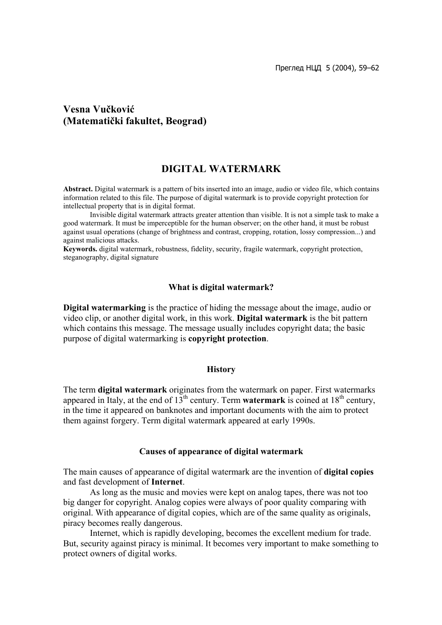Преглед НЦД 5 (2004), 59–62

# **Vesna Vučković (Matematički fakultet, Beograd)**

## **DIGITAL WATERMARK**

**Abstract.** Digital watermark is a pattern of bits inserted into an image, audio or video file, which contains information related to this file. The purpose of digital watermark is to provide copyright protection for intellectual property that is in digital format.

Invisible digital watermark attracts greater attention than visible. It is not a simple task to make a good watermark. It must be imperceptible for the human observer; on the other hand, it must be robust against usual operations (change of brightness and contrast, cropping, rotation, lossy compression...) and against malicious attacks.

**Keywords.** digital watermark, robustness, fidelity, security, fragile watermark, copyright protection, steganography, digital signature

#### **What is digital watermark?**

**Digital watermarking** is the practice of hiding the message about the image, audio or video clip, or another digital work, in this work. **Digital watermark** is the bit pattern which contains this message. The message usually includes copyright data; the basic purpose of digital watermarking is **copyright protection**.

#### **History**

The term **digital watermark** originates from the watermark on paper. First watermarks appeared in Italy, at the end of  $13<sup>th</sup>$  century. Term **watermark** is coined at  $18<sup>th</sup>$  century, in the time it appeared on banknotes and important documents with the aim to protect them against forgery. Term digital watermark appeared at early 1990s.

#### **Causes of appearance of digital watermark**

The main causes of appearance of digital watermark are the invention of **digital copies** and fast development of **Internet**.

As long as the music and movies were kept on analog tapes, there was not too big danger for copyright. Analog copies were always of poor quality comparing with original. With appearance of digital copies, which are of the same quality as originals, piracy becomes really dangerous.

Internet, which is rapidly developing, becomes the excellent medium for trade. But, security against piracy is minimal. It becomes very important to make something to protect owners of digital works.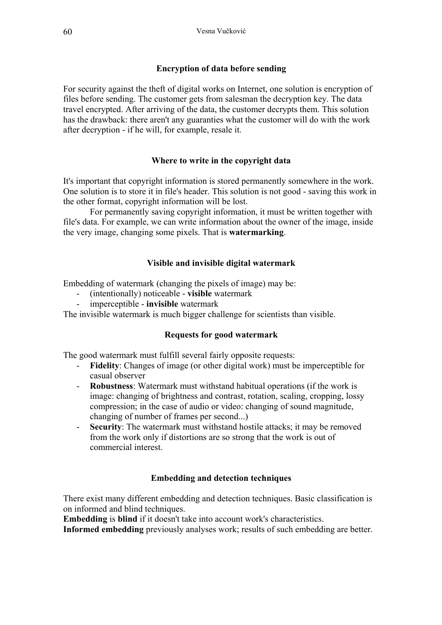### **Encryption of data before sending**

For security against the theft of digital works on Internet, one solution is encryption of files before sending. The customer gets from salesman the decryption key. The data travel encrypted. After arriving of the data, the customer decrypts them. This solution has the drawback: there aren't any guaranties what the customer will do with the work after decryption - if he will, for example, resale it.

### **Where to write in the copyright data**

It's important that copyright information is stored permanently somewhere in the work. One solution is to store it in file's header. This solution is not good - saving this work in the other format, copyright information will be lost.

For permanently saving copyright information, it must be written together with file's data. For example, we can write information about the owner of the image, inside the very image, changing some pixels. That is **watermarking**.

### **Visible and invisible digital watermark**

Embedding of watermark (changing the pixels of image) may be:

- (intentionally) noticeable **visible** watermark
- imperceptible **invisible** watermark

The invisible watermark is much bigger challenge for scientists than visible.

#### **Requests for good watermark**

The good watermark must fulfill several fairly opposite requests:

- **Fidelity**: Changes of image (or other digital work) must be imperceptible for casual observer
- **Robustness**: Watermark must withstand habitual operations (if the work is image: changing of brightness and contrast, rotation, scaling, cropping, lossy compression; in the case of audio or video: changing of sound magnitude, changing of number of frames per second...)
- **Security**: The watermark must withstand hostile attacks; it may be removed from the work only if distortions are so strong that the work is out of commercial interest.

### **Embedding and detection techniques**

There exist many different embedding and detection techniques. Basic classification is on informed and blind techniques.

**Embedding** is **blind** if it doesn't take into account work's characteristics.

**Informed embedding** previously analyses work; results of such embedding are better.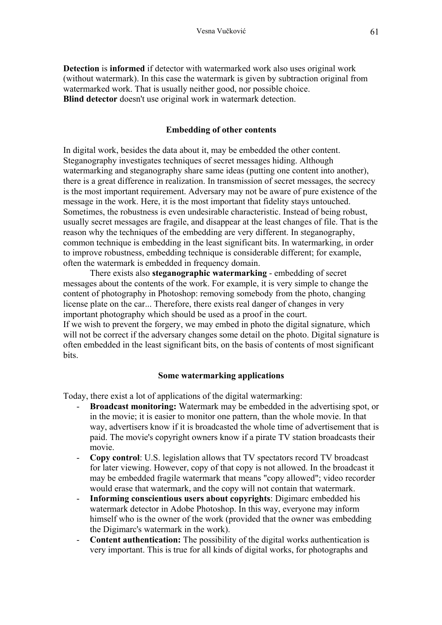**Detection** is **informed** if detector with watermarked work also uses original work (without watermark). In this case the watermark is given by subtraction original from watermarked work. That is usually neither good, nor possible choice. **Blind detector** doesn't use original work in watermark detection.

### **Embedding of other contents**

In digital work, besides the data about it, may be embedded the other content. Steganography investigates techniques of secret messages hiding. Although watermarking and steganography share same ideas (putting one content into another), there is a great difference in realization. In transmission of secret messages, the secrecy is the most important requirement. Adversary may not be aware of pure existence of the message in the work. Here, it is the most important that fidelity stays untouched. Sometimes, the robustness is even undesirable characteristic. Instead of being robust, usually secret messages are fragile, and disappear at the least changes of file. That is the reason why the techniques of the embedding are very different. In steganography, common technique is embedding in the least significant bits. In watermarking, in order to improve robustness, embedding technique is considerable different; for example, often the watermark is embedded in frequency domain.

There exists also **steganographic watermarking** - embedding of secret messages about the contents of the work. For example, it is very simple to change the content of photography in Photoshop: removing somebody from the photo, changing license plate on the car... Therefore, there exists real danger of changes in very important photography which should be used as a proof in the court. If we wish to prevent the forgery, we may embed in photo the digital signature, which will not be correct if the adversary changes some detail on the photo. Digital signature is often embedded in the least significant bits, on the basis of contents of most significant bits.

#### **Some watermarking applications**

Today, there exist a lot of applications of the digital watermarking:

- **Broadcast monitoring:** Watermark may be embedded in the advertising spot, or in the movie; it is easier to monitor one pattern, than the whole movie. In that way, advertisers know if it is broadcasted the whole time of advertisement that is paid. The movie's copyright owners know if a pirate TV station broadcasts their movie.
- **Copy control**: U.S. legislation allows that TV spectators record TV broadcast for later viewing. However, copy of that copy is not allowed. In the broadcast it may be embedded fragile watermark that means "copy allowed"; video recorder would erase that watermark, and the copy will not contain that watermark.
- **Informing conscientious users about copyrights**: Digimarc embedded his watermark detector in Adobe Photoshop. In this way, everyone may inform himself who is the owner of the work (provided that the owner was embedding the Digimarc's watermark in the work).
- **Content authentication:** The possibility of the digital works authentication is very important. This is true for all kinds of digital works, for photographs and